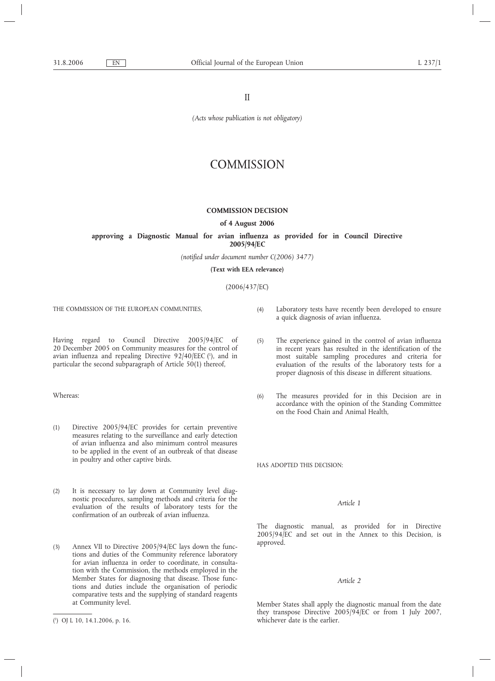II

*(Acts whose publication is not obligatory)*

# **COMMISSION**

# **COMMISSION DECISION**

### **of 4 August 2006**

# **approving a Diagnostic Manual for avian influenza as provided for in Council Directive 2005/94/EC**

*(notified under document number C(2006) 3477)*

**(Text with EEA relevance)**

(2006/437/EC)

THE COMMISSION OF THE EUROPEAN COMMUNITIES,

Having regard to Council Directive 2005/94/EC of 20 December 2005 on Community measures for the control of avian influenza and repealing Directive 92/40/EEC (1), and in particular the second subparagraph of Article 50(1) thereof,

Whereas:

- (1) Directive 2005/94/EC provides for certain preventive measures relating to the surveillance and early detection of avian influenza and also minimum control measures to be applied in the event of an outbreak of that disease in poultry and other captive birds.
- (2) It is necessary to lay down at Community level diagnostic procedures, sampling methods and criteria for the evaluation of the results of laboratory tests for the confirmation of an outbreak of avian influenza.
- (3) Annex VII to Directive 2005/94/EC lays down the functions and duties of the Community reference laboratory for avian influenza in order to coordinate, in consultation with the Commission, the methods employed in the Member States for diagnosing that disease. Those functions and duties include the organisation of periodic comparative tests and the supplying of standard reagents at Community level.
- (4) Laboratory tests have recently been developed to ensure a quick diagnosis of avian influenza.
- (5) The experience gained in the control of avian influenza in recent years has resulted in the identification of the most suitable sampling procedures and criteria for evaluation of the results of the laboratory tests for a proper diagnosis of this disease in different situations.
- (6) The measures provided for in this Decision are in accordance with the opinion of the Standing Committee on the Food Chain and Animal Health,

HAS ADOPTED THIS DECISION:

# *Article 1*

The diagnostic manual, as provided for in Directive 2005/94/EC and set out in the Annex to this Decision, is approved.

# *Article 2*

Member States shall apply the diagnostic manual from the date they transpose Directive 2005/94/EC or from 1 July 2007, whichever date is the earlier.

<sup>(</sup> 1 ) OJ L 10, 14.1.2006, p. 16.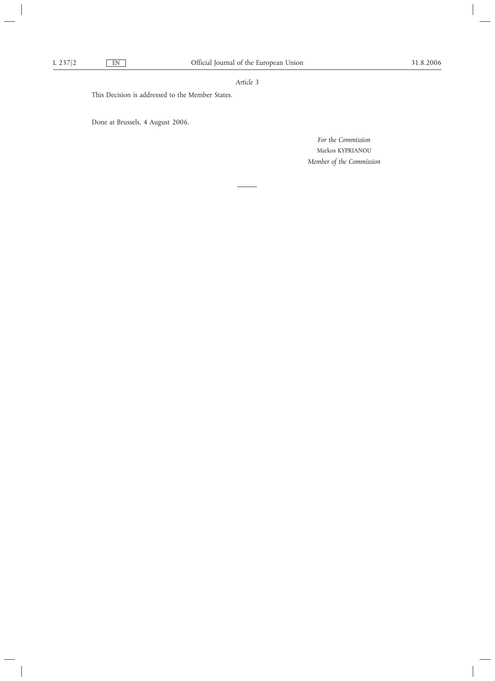# *Article 3*

This Decision is addressed to the Member States.

Done at Brussels, 4 August 2006.

*For the Commission* Markos KYPRIANOU *Member of the Commission*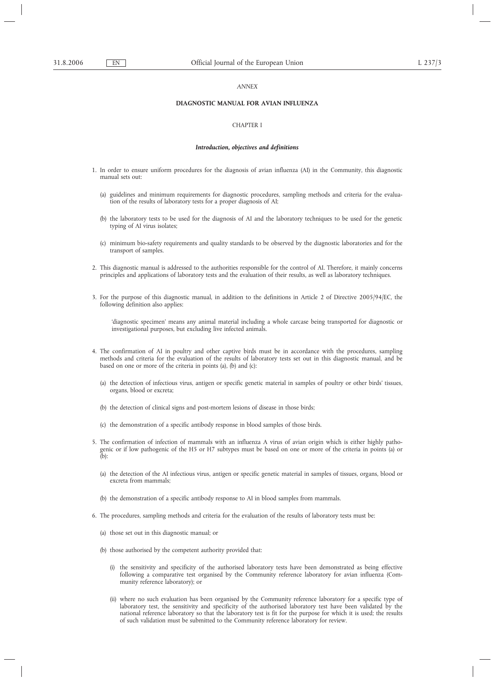### *ANNEX*

# **DIAGNOSTIC MANUAL FOR AVIAN INFLUENZA**

# CHAPTER I

#### *Introduction, objectives and definitions*

- 1. In order to ensure uniform procedures for the diagnosis of avian influenza (AI) in the Community, this diagnostic manual sets out:
	- (a) guidelines and minimum requirements for diagnostic procedures, sampling methods and criteria for the evaluation of the results of laboratory tests for a proper diagnosis of AI;
	- (b) the laboratory tests to be used for the diagnosis of AI and the laboratory techniques to be used for the genetic typing of AI virus isolates;
	- (c) minimum bio-safety requirements and quality standards to be observed by the diagnostic laboratories and for the transport of samples.
- 2. This diagnostic manual is addressed to the authorities responsible for the control of AI. Therefore, it mainly concerns principles and applications of laboratory tests and the evaluation of their results, as well as laboratory techniques.
- 3. For the purpose of this diagnostic manual, in addition to the definitions in Article 2 of Directive 2005/94/EC, the following definition also applies:

'diagnostic specimen' means any animal material including a whole carcase being transported for diagnostic or investigational purposes, but excluding live infected animals.

- 4. The confirmation of AI in poultry and other captive birds must be in accordance with the procedures, sampling methods and criteria for the evaluation of the results of laboratory tests set out in this diagnostic manual, and be based on one or more of the criteria in points (a), (b) and (c):
	- (a) the detection of infectious virus, antigen or specific genetic material in samples of poultry or other birds' tissues, organs, blood or excreta;
	- (b) the detection of clinical signs and post-mortem lesions of disease in those birds;
	- (c) the demonstration of a specific antibody response in blood samples of those birds.
- 5. The confirmation of infection of mammals with an influenza A virus of avian origin which is either highly pathogenic or if low pathogenic of the H5 or H7 subtypes must be based on one or more of the criteria in points (a) or  $(h)$ :
	- (a) the detection of the AI infectious virus, antigen or specific genetic material in samples of tissues, organs, blood or excreta from mammals;
	- (b) the demonstration of a specific antibody response to AI in blood samples from mammals.
- 6. The procedures, sampling methods and criteria for the evaluation of the results of laboratory tests must be:
	- (a) those set out in this diagnostic manual; or
	- (b) those authorised by the competent authority provided that:
		- (i) the sensitivity and specificity of the authorised laboratory tests have been demonstrated as being effective following a comparative test organised by the Community reference laboratory for avian influenza (Community reference laboratory); or
		- (ii) where no such evaluation has been organised by the Community reference laboratory for a specific type of laboratory test, the sensitivity and specificity of the authorised laboratory test have been validated by the national reference laboratory so that the laboratory test is fit for the purpose for which it is used; the results of such validation must be submitted to the Community reference laboratory for review.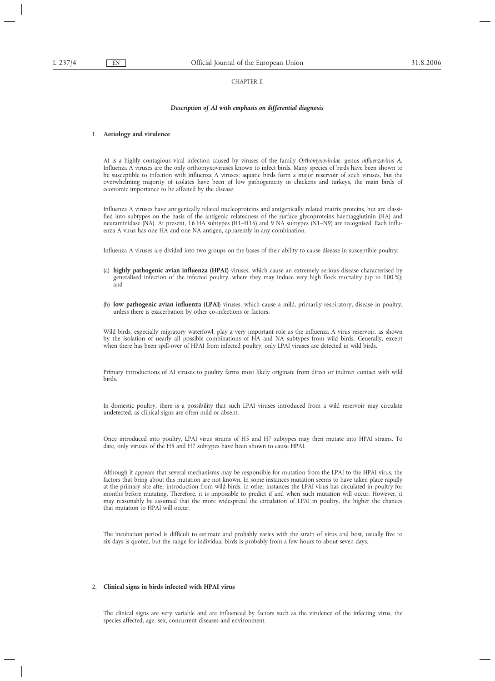## CHAPTER II

#### *Description of AI with emphasis on differential diagnosis*

# 1. **Aetiology and virulence**

AI is a highly contagious viral infection caused by viruses of the family *Orthomyxoviridae*, genus *influenzavirus A*. Influenza A viruses are the only orthomyxoviruses known to infect birds. Many species of birds have been shown to be susceptible to infection with influenza A viruses; aquatic birds form a major reservoir of such viruses, but the overwhelming majority of isolates have been of low pathogenicity in chickens and turkeys, the main birds of economic importance to be affected by the disease.

Influenza A viruses have antigenically related nucleoproteins and antigenically related matrix proteins, but are classified into subtypes on the basis of the antigenic relatedness of the surface glycoproteins haemagglutinin (HA) and neuraminidase (NA). At present, 16 HA subtypes (H1–H16) and 9 NA subtypes (N1–N9) are recognised. Each influenza A virus has one HA and one NA antigen, apparently in any combination.

Influenza A viruses are divided into two groups on the bases of their ability to cause disease in susceptible poultry:

- (a) **highly pathogenic avian influenza (HPAI)** viruses, which cause an extremely serious disease characterised by generalised infection of the infected poultry, where they may induce very high flock mortality (up to 100 %); and
- (b) **low pathogenic avian influenza (LPAI**) viruses, which cause a mild, primarily respiratory, disease in poultry, unless there is exacerbation by other co-infections or factors.

Wild birds, especially migratory waterfowl, play a very important role as the influenza A virus reservoir, as shown by the isolation of nearly all possible combinations of HA and NA subtypes from wild birds. Generally, except when there has been spill-over of HPAI from infected poultry, only LPAI viruses are detected in wild birds.

Primary introductions of AI viruses to poultry farms most likely originate from direct or indirect contact with wild birds.

In domestic poultry, there is a possibility that such LPAI viruses introduced from a wild reservoir may circulate undetected, as clinical signs are often mild or absent.

Once introduced into poultry, LPAI virus strains of H5 and H7 subtypes may then mutate into HPAI strains. To date, only viruses of the H5 and H7 subtypes have been shown to cause HPAI.

Although it appears that several mechanisms may be responsible for mutation from the LPAI to the HPAI virus, the factors that bring about this mutation are not known. In some instances mutation seems to have taken place rapidly at the primary site after introduction from wild birds, in other instances the LPAI virus has circulated in poultry for months before mutating. Therefore, it is impossible to predict if and when such mutation will occur. However, it may reasonably be assumed that the more widespread the circulation of LPAI in poultry, the higher the chances that mutation to HPAI will occur.

The incubation period is difficult to estimate and probably varies with the strain of virus and host, usually five to six days is quoted, but the range for individual birds is probably from a few hours to about seven days.

# 2. **Clinical signs in birds infected with HPAI virus**

The clinical signs are very variable and are influenced by factors such as the virulence of the infecting virus, the species affected, age, sex, concurrent diseases and environment.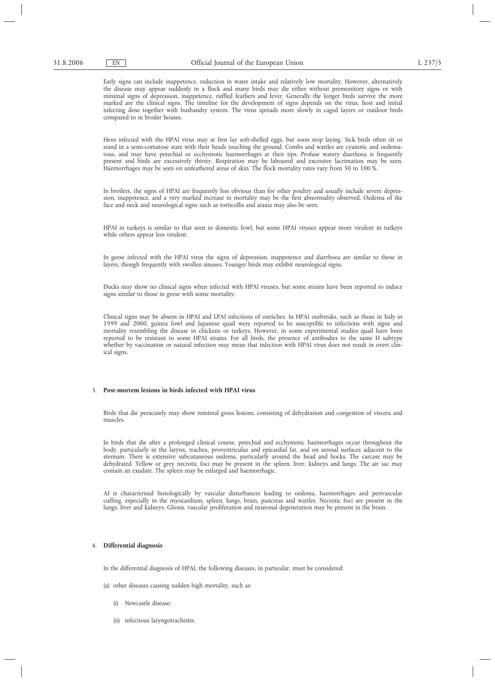Early signs can include inappetence, reduction in water intake and relatively low mortality. However, alternatively the disease may appear suddenly in a flock and many birds may die either without premonitory signs or with minimal signs of depression, inappetence, ruffled feathers and fever. Generally the longer birds survive the more marked are the clinical signs. The timeline for the development of signs depends on the virus, host and initial infecting dose together with husbandry system. The virus spreads more slowly in caged layers or outdoor birds compared to in broiler houses.

Hens infected with the HPAI virus may at first lay soft-shelled eggs, but soon stop laying. Sick birds often sit or stand in a semi-comatose state with their heads touching the ground. Combs and wattles are cyanotic and oedematous, and may have petechial or ecchymotic haemorrhages at their tips. Profuse watery diarrhoea is frequently present and birds are excessively thirsty. Respiration may be laboured and excessive lacrimation may be seen. Haemorrhages may be seen on unfeathered areas of skin. The flock mortality rates vary from 50 to 100 %.

In broilers, the signs of HPAI are frequently less obvious than for other poultry and usually include severe depression, inappetence, and a very marked increase in mortality may be the first abnormality observed. Oedema of the face and neck and neurological signs such as torticollis and ataxia may also be seen.

HPAI in turkeys is similar to that seen in domestic fowl, but some HPAI viruses appear more virulent in turkeys while others appear less virulent.

In geese infected with the HPAI virus the signs of depression, inappetence and diarrhoea are similar to those in layers, though frequently with swollen sinuses. Younger birds may exhibit neurological signs.

Ducks may show no clinical signs when infected with HPAI viruses, but some strains have been reported to induce signs similar to those in geese with some mortality.

Clinical signs may be absent in HPAI and LPAI infections of ostriches. In HPAI outbreaks, such as those in Italy in 1999 and 2000, guinea fowl and Japanese quail were reported to be susceptible to infections with signs and mortality resembling the disease in chickens or turkeys. However, in some experimental studies quail have been reported to be resistant to some HPAI strains. For all birds, the presence of antibodies to the same H subtype whether by vaccination or natural infection may mean that infection with HPAI virus does not result in overt clinical signs.

# 3. **Post-mortem lesions in birds infected with HPAI virus**

Birds that die peracutely may show minimal gross lesions, consisting of dehydration and congestion of viscera and muscles.

In birds that die after a prolonged clinical course, petechial and ecchymotic haemorrhages occur throughout the body, particularly in the larynx, trachea, proventriculus and epicardial fat, and on serosal surfaces adjacent to the sternum. There is extensive subcutaneous oedema, particularly around the head and hocks. The carcase may be dehydrated. Yellow or grey necrotic foci may be present in the spleen, liver, kidneys and lungs. The air sac may contain an exudate. The spleen may be enlarged and haemorrhagic.

AI is characterised histologically by vascular disturbances leading to oedema, haemorrhages and perivascular cuffing, especially in the myocardium, spleen, lungs, brain, pancreas and wattles. Necrotic foci are present in the lungs, liver and kidneys. Gliosis, vascular proliferation and neuronal degeneration may be present in the brain.

# 4. **Differential diagnosis**

In the differential diagnosis of HPAI, the following diseases, in particular, must be considered:

- (a) other diseases causing sudden high mortality, such as:
	- (i) Newcastle disease;
	- (ii) infectious laryngotracheitis;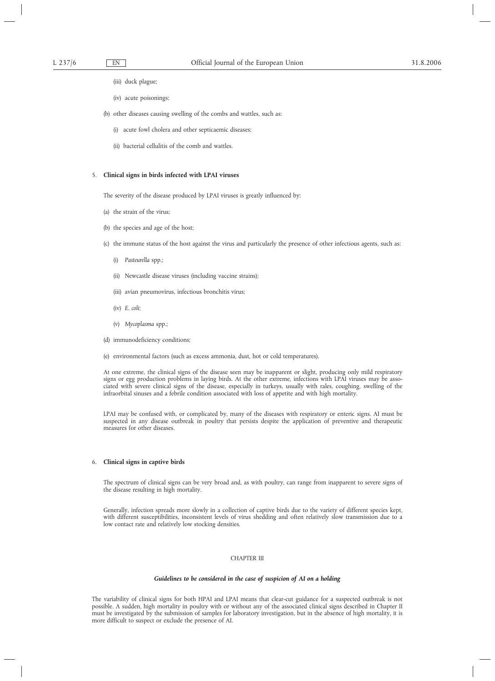(iii) duck plague;

- (iv) acute poisonings;
- (b) other diseases causing swelling of the combs and wattles, such as:
	- (i) acute fowl cholera and other septicaemic diseases;
	- (ii) bacterial cellulitis of the comb and wattles.

# 5. **Clinical signs in birds infected with LPAI viruses**

The severity of the disease produced by LPAI viruses is greatly influenced by:

- (a) the strain of the virus;
- (b) the species and age of the host;
- (c) the immune status of the host against the virus and particularly the presence of other infectious agents, such as:
	- (i) *Pasteurella* spp.;
	- (ii) Newcastle disease viruses (including vaccine strains);
	- (iii) avian pneumovirus, infectious bronchitis virus;
	- (iv) *E. coli*;
	- (v) *Mycoplasma* spp.;
- (d) immunodeficiency conditions;
- (e) environmental factors (such as excess ammonia, dust, hot or cold temperatures).

At one extreme, the clinical signs of the disease seen may be inapparent or slight, producing only mild respiratory signs or egg production problems in laying birds. At the other extreme, infections with LPAI viruses may be associated with severe clinical signs of the disease, especially in turkeys, usually with rales, coughing, swelling of the infraorbital sinuses and a febrile condition associated with loss of appetite and with high mortality.

LPAI may be confused with, or complicated by, many of the diseases with respiratory or enteric signs. AI must be suspected in any disease outbreak in poultry that persists despite the application of preventive and therapeutic measures for other diseases.

### 6. **Clinical signs in captive birds**

The spectrum of clinical signs can be very broad and, as with poultry, can range from inapparent to severe signs of the disease resulting in high mortality.

Generally, infection spreads more slowly in a collection of captive birds due to the variety of different species kept, with different susceptibilities, inconsistent levels of virus shedding and often relatively slow transmission due to a low contact rate and relatively low stocking densities.

# CHAPTER III

#### *Guidelines to be considered in the case of suspicion of AI on a holding*

The variability of clinical signs for both HPAI and LPAI means that clear-cut guidance for a suspected outbreak is not possible. A sudden, high mortality in poultry with or without any of the associated clinical signs described in Chapter II must be investigated by the submission of samples for laboratory investigation, but in the absence of high mortality, it is more difficult to suspect or exclude the presence of AI.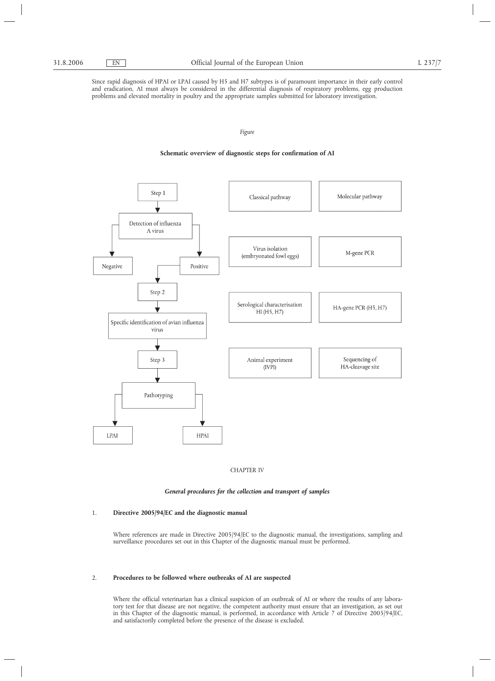Since rapid diagnosis of HPAI or LPAI caused by H5 and H7 subtypes is of paramount importance in their early control and eradication, AI must always be considered in the differential diagnosis of respiratory problems, egg production problems and elevated mortality in poultry and the appropriate samples submitted for laboratory investigation.

# *Figure*

# **Schematic overview of diagnostic steps for confirmation of AI**





# *General procedures for the collection and transport of samples*

# 1. **Directive 2005/94/EC and the diagnostic manual**

Where references are made in Directive 2005/94/EC to the diagnostic manual, the investigations, sampling and surveillance procedures set out in this Chapter of the diagnostic manual must be performed.

# 2. **Procedures to be followed where outbreaks of AI are suspected**

Where the official veterinarian has a clinical suspicion of an outbreak of AI or where the results of any laboratory test for that disease are not negative, the competent authority must ensure that an investigation, as set out in this Chapter of the diagnostic manual, is performed, in accordance with Article 7 of Directive 2005/94/EC, and satisfactorily completed before the presence of the disease is excluded.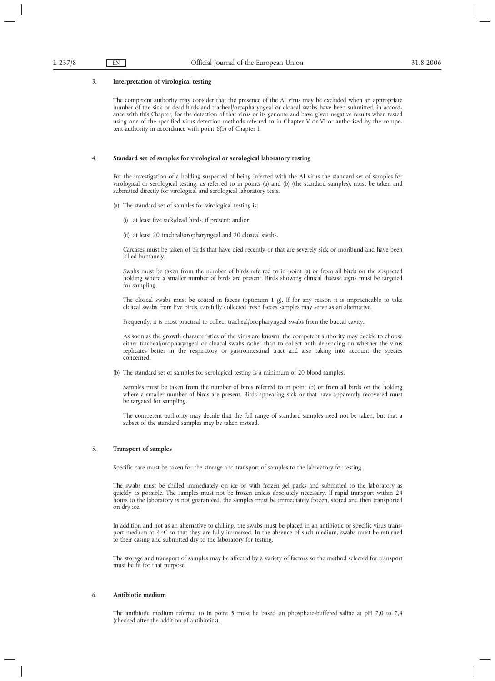#### 3. **Interpretation of virological testing**

The competent authority may consider that the presence of the AI virus may be excluded when an appropriate number of the sick or dead birds and tracheal/oro-pharyngeal or cloacal swabs have been submitted, in accordance with this Chapter, for the detection of that virus or its genome and have given negative results when tested using one of the specified virus detection methods referred to in Chapter V or VI or authorised by the competent authority in accordance with point 6(b) of Chapter I.

# 4. **Standard set of samples for virological or serological laboratory testing**

For the investigation of a holding suspected of being infected with the AI virus the standard set of samples for virological or serological testing, as referred to in points (a) and (b) (the standard samples), must be taken and submitted directly for virological and serological laboratory tests.

- (a) The standard set of samples for virological testing is:
	- (i) at least five sick/dead birds, if present; and/or
	- (ii) at least 20 tracheal/oropharyngeal and 20 cloacal swabs.

Carcases must be taken of birds that have died recently or that are severely sick or moribund and have been killed humanely.

Swabs must be taken from the number of birds referred to in point (a) or from all birds on the suspected holding where a smaller number of birds are present. Birds showing clinical disease signs must be targeted for sampling.

The cloacal swabs must be coated in faeces (optimum 1  $\rho$ ). If for any reason it is impracticable to take cloacal swabs from live birds, carefully collected fresh faeces samples may serve as an alternative.

Frequently, it is most practical to collect tracheal/oropharyngeal swabs from the buccal cavity.

As soon as the growth characteristics of the virus are known, the competent authority may decide to choose either tracheal/oropharyngeal or cloacal swabs rather than to collect both depending on whether the virus replicates better in the respiratory or gastrointestinal tract and also taking into account the species concerned.

(b) The standard set of samples for serological testing is a minimum of 20 blood samples.

Samples must be taken from the number of birds referred to in point (b) or from all birds on the holding where a smaller number of birds are present. Birds appearing sick or that have apparently recovered must be targeted for sampling.

The competent authority may decide that the full range of standard samples need not be taken, but that a subset of the standard samples may be taken instead.

# 5. **Transport of samples**

Specific care must be taken for the storage and transport of samples to the laboratory for testing.

The swabs must be chilled immediately on ice or with frozen gel packs and submitted to the laboratory as quickly as possible. The samples must not be frozen unless absolutely necessary. If rapid transport within 24 hours to the laboratory is not guaranteed, the samples must be immediately frozen, stored and then transported on dry ice.

In addition and not as an alternative to chilling, the swabs must be placed in an antibiotic or specific virus transport medium at  $4 \,^{\circ}\text{C}$  so that they are fully immersed. In the absence of such medium, swabs must be returned to their casing and submitted dry to the laboratory for testing.

The storage and transport of samples may be affected by a variety of factors so the method selected for transport must be fit for that purpose.

# 6. **Antibiotic medium**

The antibiotic medium referred to in point 5 must be based on phosphate-buffered saline at pH 7,0 to 7,4 (checked after the addition of antibiotics).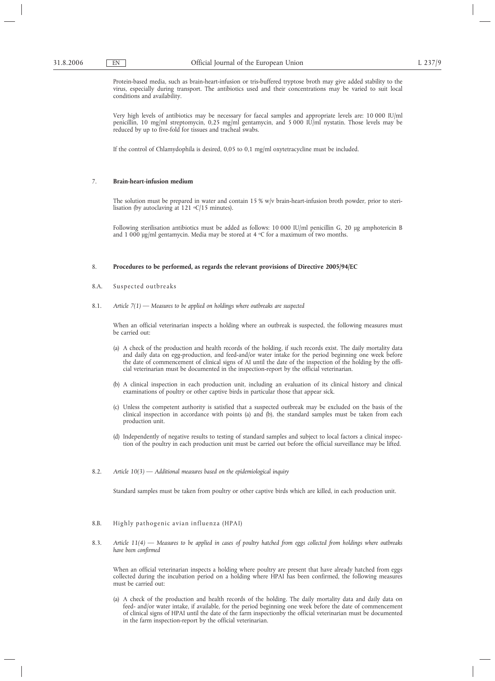Protein-based media, such as brain-heart-infusion or tris-buffered tryptose broth may give added stability to the virus, especially during transport. The antibiotics used and their concentrations may be varied to suit local conditions and availability.

Very high levels of antibiotics may be necessary for faecal samples and appropriate levels are: 10 000 IU/ml penicillin, 10 mg/ml streptomycin, 0,25 mg/ml gentamycin, and 5 000 IU/ml nystatin. Those levels may be reduced by up to five-fold for tissues and tracheal swabs.

If the control of Chlamydophila is desired, 0,05 to 0,1 mg/ml oxytetracycline must be included.

### 7. **Brain-heart-infusion medium**

The solution must be prepared in water and contain 15 % w/v brain-heart-infusion broth powder, prior to sterilisation (by autoclaving at  $121 °C/15$  minutes).

Following sterilisation antibiotics must be added as follows: 10 000 IU/ml penicillin G, 20 µg amphotericin B and 1 000  $\mu$ g/ml gentamycin. Media may be stored at 4 °C for a maximum of two months.

# 8. **Procedures to be performed, as regards the relevant provisions of Directive 2005/94/EC**

- 8.A. Suspected outbreaks
- 8.1. *Article 7(1) Measures to be applied on holdings where outbreaks are suspected*

When an official veterinarian inspects a holding where an outbreak is suspected, the following measures must be carried out:

- (a) A check of the production and health records of the holding, if such records exist. The daily mortality data and daily data on egg-production, and feed-and/or water intake for the period beginning one week before the date of commencement of clinical signs of AI until the date of the inspection of the holding by the official veterinarian must be documented in the inspection-report by the official veterinarian.
- (b) A clinical inspection in each production unit, including an evaluation of its clinical history and clinical examinations of poultry or other captive birds in particular those that appear sick.
- (c) Unless the competent authority is satisfied that a suspected outbreak may be excluded on the basis of the clinical inspection in accordance with points (a) and (b), the standard samples must be taken from each production unit.
- (d) Independently of negative results to testing of standard samples and subject to local factors a clinical inspection of the poultry in each production unit must be carried out before the official surveillance may be lifted.
- 8.2. *Article 10(3) Additional measures based on the epidemiological inquiry*

Standard samples must be taken from poultry or other captive birds which are killed, in each production unit.

# 8.B. Highly pathogenic avian influenza (HPAI)

8.3. *Article 11(4) — Measures to be applied in cases of poultry hatched from eggs collected from holdings where outbreaks have been confirmed*

When an official veterinarian inspects a holding where poultry are present that have already hatched from eggs collected during the incubation period on a holding where HPAI has been confirmed, the following measures must be carried out:

(a) A check of the production and health records of the holding. The daily mortality data and daily data on feed- and/or water intake, if available, for the period beginning one week before the date of commencement of clinical signs of HPAI until the date of the farm inspectionby the official veterinarian must be documented in the farm inspection-report by the official veterinarian.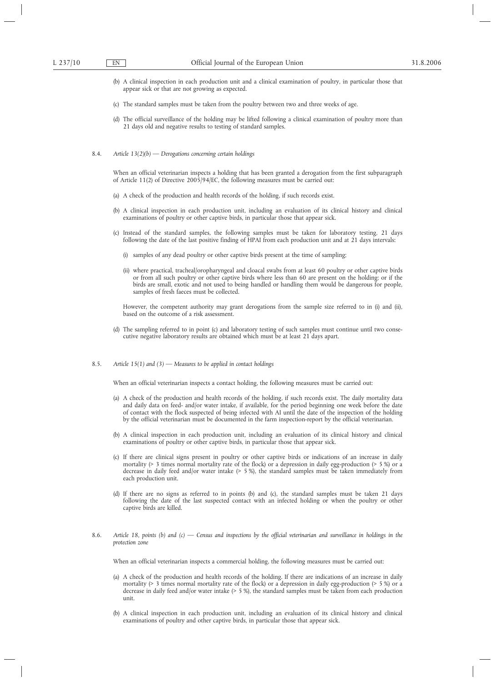- (b) A clinical inspection in each production unit and a clinical examination of poultry, in particular those that appear sick or that are not growing as expected.
- (c) The standard samples must be taken from the poultry between two and three weeks of age.
- (d) The official surveillance of the holding may be lifted following a clinical examination of poultry more than 21 days old and negative results to testing of standard samples.
- 8.4. *Article 13(2)(b) Derogations concerning certain holdings*

When an official veterinarian inspects a holding that has been granted a derogation from the first subparagraph of Article 11(2) of Directive 2005/94/EC, the following measures must be carried out:

- (a) A check of the production and health records of the holding, if such records exist.
- (b) A clinical inspection in each production unit, including an evaluation of its clinical history and clinical examinations of poultry or other captive birds, in particular those that appear sick.
- (c) Instead of the standard samples, the following samples must be taken for laboratory testing, 21 days following the date of the last positive finding of HPAI from each production unit and at 21 days intervals:
	- (i) samples of any dead poultry or other captive birds present at the time of sampling;
	- (ii) where practical, tracheal/oropharyngeal and cloacal swabs from at least 60 poultry or other captive birds or from all such poultry or other captive birds where less than 60 are present on the holding; or if the birds are small, exotic and not used to being handled or handling them would be dangerous for people, samples of fresh faeces must be collected.

However, the competent authority may grant derogations from the sample size referred to in (i) and (ii), based on the outcome of a risk assessment.

- (d) The sampling referred to in point (c) and laboratory testing of such samples must continue until two consecutive negative laboratory results are obtained which must be at least 21 days apart.
- 8.5. *Article 15(1) and (3) Measures to be applied in contact holdings*

When an official veterinarian inspects a contact holding, the following measures must be carried out:

- (a) A check of the production and health records of the holding, if such records exist. The daily mortality data and daily data on feed- and/or water intake, if available, for the period beginning one week before the date of contact with the flock suspected of being infected with AI until the date of the inspection of the holding by the official veterinarian must be documented in the farm inspection-report by the official veterinarian.
- (b) A clinical inspection in each production unit, including an evaluation of its clinical history and clinical examinations of poultry or other captive birds, in particular those that appear sick.
- (c) If there are clinical signs present in poultry or other captive birds or indications of an increase in daily mortality (> 3 times normal mortality rate of the flock) or a depression in daily egg-production (> 5 %) or a decrease in daily feed and/or water intake (> 5 %), the standard samples must be taken immediately from each production unit.
- (d) If there are no signs as referred to in points (b) and (c), the standard samples must be taken 21 days following the date of the last suspected contact with an infected holding or when the poultry or other captive birds are killed.
- 8.6. *Article 18, points (b) and (c) Census and inspections by the official veterinarian and surveillance in holdings in the protection zone*

When an official veterinarian inspects a commercial holding, the following measures must be carried out:

- (a) A check of the production and health records of the holding. If there are indications of an increase in daily mortality (> 3 times normal mortality rate of the flock) or a depression in daily egg-production (> 5 %) or a decrease in daily feed and/or water intake (> 5 %), the standard samples must be taken from each production unit.
- (b) A clinical inspection in each production unit, including an evaluation of its clinical history and clinical examinations of poultry and other captive birds, in particular those that appear sick.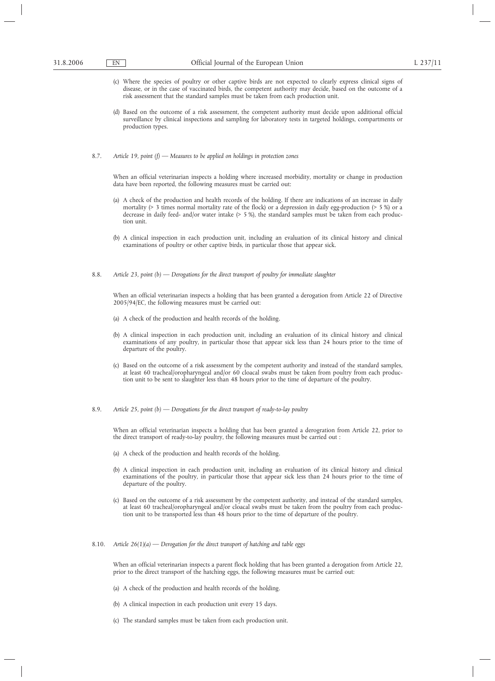- (c) Where the species of poultry or other captive birds are not expected to clearly express clinical signs of disease, or in the case of vaccinated birds, the competent authority may decide, based on the outcome of a risk assessment that the standard samples must be taken from each production unit.
- (d) Based on the outcome of a risk assessment, the competent authority must decide upon additional official surveillance by clinical inspections and sampling for laboratory tests in targeted holdings, compartments or production types.
- 8.7. *Article 19, point (f) Measures to be applied on holdings in protection zones*

When an official veterinarian inspects a holding where increased morbidity, mortality or change in production data have been reported, the following measures must be carried out:

- (a) A check of the production and health records of the holding. If there are indications of an increase in daily mortality (> 3 times normal mortality rate of the flock) or a depression in daily egg-production (> 5 %) or a decrease in daily feed- and/or water intake (> 5 %), the standard samples must be taken from each production unit.
- (b) A clinical inspection in each production unit, including an evaluation of its clinical history and clinical examinations of poultry or other captive birds, in particular those that appear sick.
- 8.8. *Article 23, point (b) Derogations for the direct transport of poultry for immediate slaughter*

When an official veterinarian inspects a holding that has been granted a derogation from Article 22 of Directive 2005/94/EC, the following measures must be carried out:

- (a) A check of the production and health records of the holding.
- (b) A clinical inspection in each production unit, including an evaluation of its clinical history and clinical examinations of any poultry, in particular those that appear sick less than 24 hours prior to the time of departure of the poultry.
- (c) Based on the outcome of a risk assessment by the competent authority and instead of the standard samples, at least 60 tracheal/oropharyngeal and/or 60 cloacal swabs must be taken from poultry from each production unit to be sent to slaughter less than 48 hours prior to the time of departure of the poultry.
- 8.9. *Article 25, point (b) Derogations for the direct transport of ready-to-lay poultry*

When an official veterinarian inspects a holding that has been granted a derogration from Article 22, prior to the direct transport of ready-to-lay poultry, the following measures must be carried out :

- (a) A check of the production and health records of the holding.
- (b) A clinical inspection in each production unit, including an evaluation of its clinical history and clinical examinations of the poultry, in particular those that appear sick less than 24 hours prior to the time of departure of the poultry.
- (c) Based on the outcome of a risk assessment by the competent authority, and instead of the standard samples, at least 60 tracheal/oropharyngeal and/or cloacal swabs must be taken from the poultry from each production unit to be transported less than 48 hours prior to the time of departure of the poultry.
- 8.10. *Article 26(1)(a) Derogation for the direct transport of hatching and table eggs*

When an official veterinarian inspects a parent flock holding that has been granted a derogation from Article 22, prior to the direct transport of the hatching eggs, the following measures must be carried out:

- (a) A check of the production and health records of the holding.
- (b) A clinical inspection in each production unit every 15 days.
- (c) The standard samples must be taken from each production unit.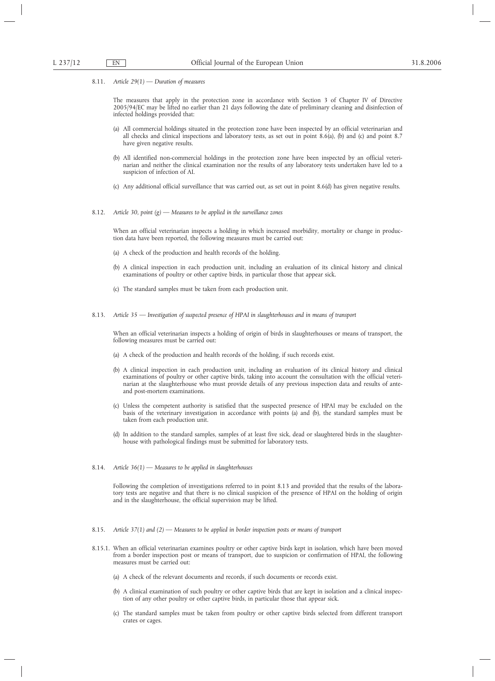8.11. *Article 29(1) — Duration of measures*

The measures that apply in the protection zone in accordance with Section 3 of Chapter IV of Directive 2005/94/EC may be lifted no earlier than 21 days following the date of preliminary cleaning and disinfection of infected holdings provided that:

- (a) All commercial holdings situated in the protection zone have been inspected by an official veterinarian and all checks and clinical inspections and laboratory tests, as set out in point 8.6(a), (b) and (c) and point 8.7 have given negative results.
- (b) All identified non-commercial holdings in the protection zone have been inspected by an official veterinarian and neither the clinical examination nor the results of any laboratory tests undertaken have led to a suspicion of infection of AI.
- (c) Any additional official surveillance that was carried out, as set out in point 8.6(d) has given negative results.
- 8.12. *Article 30, point (g) Measures to be applied in the surveillance zones*

When an official veterinarian inspects a holding in which increased morbidity, mortality or change in production data have been reported, the following measures must be carried out:

- (a) A check of the production and health records of the holding.
- (b) A clinical inspection in each production unit, including an evaluation of its clinical history and clinical examinations of poultry or other captive birds, in particular those that appear sick.
- (c) The standard samples must be taken from each production unit.
- 8.13. *Article 35 Investigation of suspected presence of HPAI in slaughterhouses and in means of transport*

When an official veterinarian inspects a holding of origin of birds in slaughterhouses or means of transport, the following measures must be carried out:

- (a) A check of the production and health records of the holding, if such records exist.
- (b) A clinical inspection in each production unit, including an evaluation of its clinical history and clinical examinations of poultry or other captive birds, taking into account the consultation with the official veterinarian at the slaughterhouse who must provide details of any previous inspection data and results of anteand post-mortem examinations.
- (c) Unless the competent authority is satisfied that the suspected presence of HPAI may be excluded on the basis of the veterinary investigation in accordance with points (a) and (b), the standard samples must be taken from each production unit.
- (d) In addition to the standard samples, samples of at least five sick, dead or slaughtered birds in the slaughterhouse with pathological findings must be submitted for laboratory tests.
- 8.14. *Article 36(1) Measures to be applied in slaughterhouses*

Following the completion of investigations referred to in point 8.13 and provided that the results of the laboratory tests are negative and that there is no clinical suspicion of the presence of HPAI on the holding of origin and in the slaughterhouse, the official supervision may be lifted.

- 8.15. *Article 37(1) and (2) Measures to be applied in border inspection posts or means of transport*
- 8.15.1. When an official veterinarian examines poultry or other captive birds kept in isolation, which have been moved from a border inspection post or means of transport, due to suspicion or confirmation of HPAI, the following measures must be carried out:
	- (a) A check of the relevant documents and records, if such documents or records exist.
	- (b) A clinical examination of such poultry or other captive birds that are kept in isolation and a clinical inspection of any other poultry or other captive birds, in particular those that appear sick.
	- (c) The standard samples must be taken from poultry or other captive birds selected from different transport crates or cages.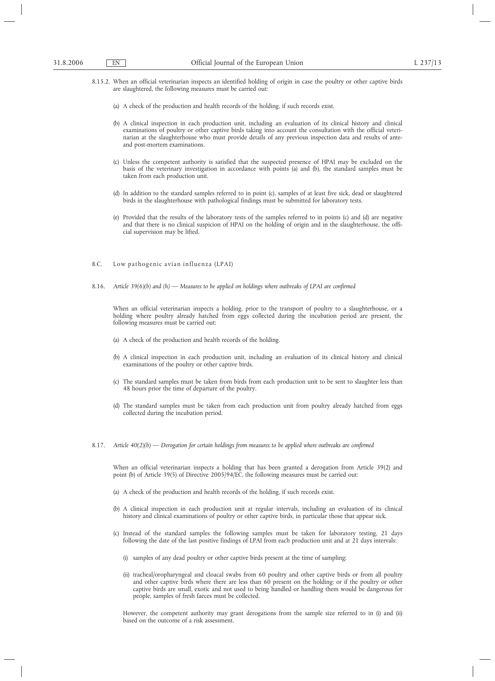- 8.15.2. When an official veterinarian inspects an identified holding of origin in case the poultry or other captive birds are slaughtered, the following measures must be carried out:
	- (a) A check of the production and health records of the holding, if such records exist.
	- (b) A clinical inspection in each production unit, including an evaluation of its clinical history and clinical examinations of poultry or other captive birds taking into account the consultation with the official veterinarian at the slaughterhouse who must provide details of any previous inspection data and results of anteand post-mortem examinations.
	- (c) Unless the competent authority is satisfied that the suspected presence of HPAI may be excluded on the basis of the veterinary investigation in accordance with points (a) and (b), the standard samples must be taken from each production unit.
	- (d) In addition to the standard samples referred to in point (c), samples of at least five sick, dead or slaughtered birds in the slaughterhouse with pathological findings must be submitted for laboratory tests.
	- (e) Provided that the results of the laboratory tests of the samples referred to in points (c) and (d) are negative and that there is no clinical suspicion of HPAI on the holding of origin and in the slaughterhouse, the official supervision may be lifted.
- 8.C. Low pathogenic avian influenza (LPAI)
- 8.16. *Article 39(6)(b) and (h) Measures to be applied on holdings where outbreaks of LPAI are confirmed*

When an official veterinarian inspects a holding, prior to the transport of poultry to a slaughterhouse, or a holding where poultry already hatched from eggs collected during the incubation period are present, the following measures must be carried out:

- (a) A check of the production and health records of the holding.
- (b) A clinical inspection in each production unit, including an evaluation of its clinical history and clinical examinations of the poultry or other captive birds.
- (c) The standard samples must be taken from birds from each production unit to be sent to slaughter less than 48 hours prior the time of departure of the poultry.
- (d) The standard samples must be taken from each production unit from poultry already hatched from eggs collected during the incubation period.
- 8.17. *Article 40(2)(b) Derogation for certain holdings from measures to be applied where outbreaks are confirmed*

When an official veterinarian inspects a holding that has been granted a derogation from Article 39(2) and point (b) of Article 39(5) of Directive 2005/94/EC, the following measures must be carried out:

- (a) A check of the production and health records of the holding, if such records exist.
- (b) A clinical inspection in each production unit at regular intervals, including an evaluation of its clinical history and clinical examinations of poultry or other captive birds, in particular those that appear sick.
- (c) Instead of the standard samples the following samples must be taken for laboratory testing, 21 days following the date of the last positive findings of LPAI from each production unit and at 21 days intervals:
	- (i) samples of any dead poultry or other captive birds present at the time of sampling;
	- (ii) tracheal/oropharyngeal and cloacal swabs from 60 poultry and other captive birds or from all poultry and other captive birds where there are less than 60 present on the holding; or if the poultry or other captive birds are small, exotic and not used to being handled or handling them would be dangerous for people, samples of fresh faeces must be collected.

However, the competent authority may grant derogations from the sample size referred to in (i) and (ii) based on the outcome of a risk assessment.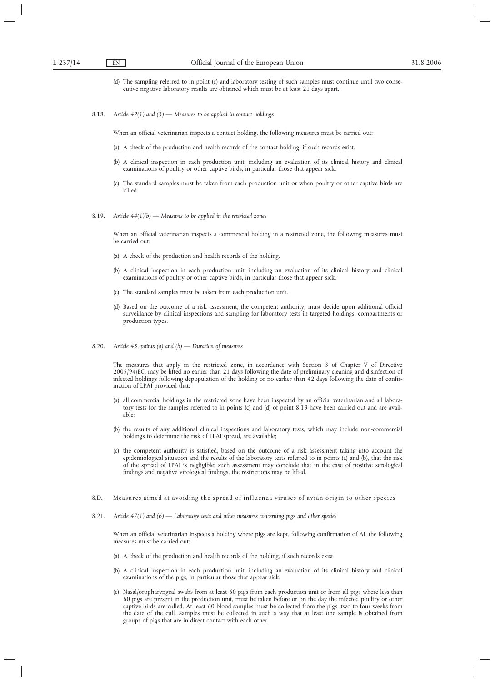- (d) The sampling referred to in point (c) and laboratory testing of such samples must continue until two consecutive negative laboratory results are obtained which must be at least 21 days apart.
- 8.18. *Article 42(1) and (3) Measures to be applied in contact holdings*

When an official veterinarian inspects a contact holding, the following measures must be carried out:

- (a) A check of the production and health records of the contact holding, if such records exist.
- (b) A clinical inspection in each production unit, including an evaluation of its clinical history and clinical examinations of poultry or other captive birds, in particular those that appear sick.
- (c) The standard samples must be taken from each production unit or when poultry or other captive birds are killed.
- 8.19. *Article 44(1)(b) Measures to be applied in the restricted zones*

When an official veterinarian inspects a commercial holding in a restricted zone, the following measures must be carried out:

- (a) A check of the production and health records of the holding.
- (b) A clinical inspection in each production unit, including an evaluation of its clinical history and clinical examinations of poultry or other captive birds, in particular those that appear sick.
- (c) The standard samples must be taken from each production unit.
- (d) Based on the outcome of a risk assessment, the competent authority, must decide upon additional official surveillance by clinical inspections and sampling for laboratory tests in targeted holdings, compartments or production types.
- 8.20. *Article 45, points (a) and (b) Duration of measures*

The measures that apply in the restricted zone, in accordance with Section 3 of Chapter V of Directive 2005/94/EC, may be lifted no earlier than 21 days following the date of preliminary cleaning and disinfection of infected holdings following depopulation of the holding or no earlier than 42 days following the date of confirmation of LPAI provided that:

- (a) all commercial holdings in the restricted zone have been inspected by an official veterinarian and all laboratory tests for the samples referred to in points (c) and (d) of point 8.13 have been carried out and are available;
- (b) the results of any additional clinical inspections and laboratory tests, which may include non-commercial holdings to determine the risk of LPAI spread, are available;
- (c) the competent authority is satisfied, based on the outcome of a risk assessment taking into account the epidemiological situation and the results of the laboratory tests referred to in points (a) and (b), that the risk of the spread of LPAI is negligible; such assessment may conclude that in the case of positive serological findings and negative virological findings, the restrictions may be lifted.
- 8.D. Measures aimed at avoiding the spread of influenza viruses of avian origin to other species
- 8.21. *Article 47(1) and (6) Laboratory tests and other measures concerning pigs and other species*

When an official veterinarian inspects a holding where pigs are kept, following confirmation of AI, the following measures must be carried out:

- (a) A check of the production and health records of the holding, if such records exist.
- (b) A clinical inspection in each production unit, including an evaluation of its clinical history and clinical examinations of the pigs, in particular those that appear sick.
- (c) Nasal/oropharyngeal swabs from at least 60 pigs from each production unit or from all pigs where less than 60 pigs are present in the production unit, must be taken before or on the day the infected poultry or other captive birds are culled. At least 60 blood samples must be collected from the pigs, two to four weeks from the date of the cull. Samples must be collected in such a way that at least one sample is obtained from groups of pigs that are in direct contact with each other.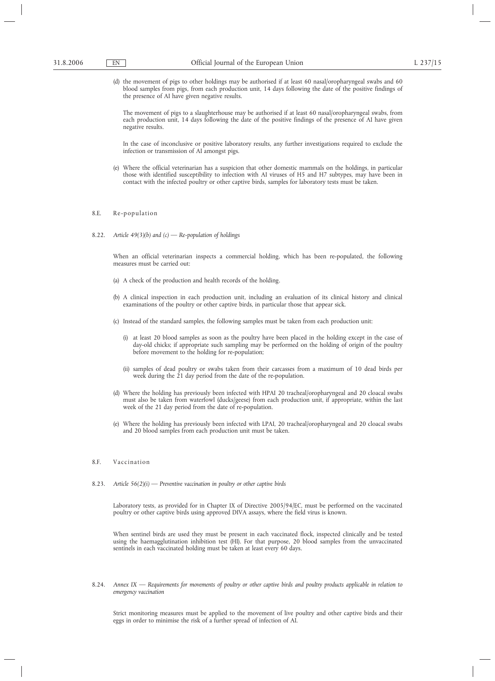(d) the movement of pigs to other holdings may be authorised if at least 60 nasal/oropharyngeal swabs and 60 blood samples from pigs, from each production unit, 14 days following the date of the positive findings of the presence of AI have given negative results.

The movement of pigs to a slaughterhouse may be authorised if at least 60 nasal/oropharyngeal swabs, from each production unit, 14 days following the date of the positive findings of the presence of AI have given negative results.

In the case of inconclusive or positive laboratory results, any further investigations required to exclude the infection or transmission of AI amongst pigs.

(e) Where the official veterinarian has a suspicion that other domestic mammals on the holdings, in particular those with identified susceptibility to infection with AI viruses of H5 and H7 subtypes, may have been in contact with the infected poultry or other captive birds, samples for laboratory tests must be taken.

# 8.E. Re-population

8.22. *Article 49(3)(b) and (c) — Re-population of holdings*

When an official veterinarian inspects a commercial holding, which has been re-populated, the following measures must be carried out:

- (a) A check of the production and health records of the holding.
- (b) A clinical inspection in each production unit, including an evaluation of its clinical history and clinical examinations of the poultry or other captive birds, in particular those that appear sick.
- (c) Instead of the standard samples, the following samples must be taken from each production unit:
	- (i) at least 20 blood samples as soon as the poultry have been placed in the holding except in the case of day-old chicks; if appropriate such sampling may be performed on the holding of origin of the poultry before movement to the holding for re-population;
	- (ii) samples of dead poultry or swabs taken from their carcasses from a maximum of 10 dead birds per week during the 21 day period from the date of the re-population.
- (d) Where the holding has previously been infected with HPAI 20 tracheal/oropharyngeal and 20 cloacal swabs must also be taken from waterfowl (ducks/geese) from each production unit, if appropriate, within the last week of the 21 day period from the date of re-population.
- (e) Where the holding has previously been infected with LPAI, 20 tracheal/oropharyngeal and 20 cloacal swabs and 20 blood samples from each production unit must be taken.

# 8.F. Vaccination

8.23. *Article 56(2)(i) — Preventive vaccination in poultry or other captive birds*

Laboratory tests, as provided for in Chapter IX of Directive 2005/94/EC, must be performed on the vaccinated poultry or other captive birds using approved DIVA assays, where the field virus is known.

When sentinel birds are used they must be present in each vaccinated flock, inspected clinically and be tested using the haemagglutination inhibition test (HI). For that purpose, 20 blood samples from the unvaccinated sentinels in each vaccinated holding must be taken at least every 60 days.

8.24. *Annex IX — Requirements for movements of poultry or other captive birds and poultry products applicable in relation to emergency vaccination*

Strict monitoring measures must be applied to the movement of live poultry and other captive birds and their eggs in order to minimise the risk of a further spread of infection of AI.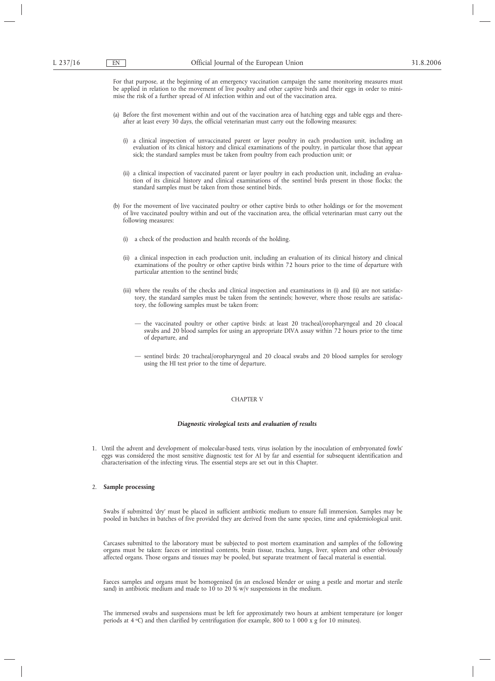For that purpose, at the beginning of an emergency vaccination campaign the same monitoring measures must be applied in relation to the movement of live poultry and other captive birds and their eggs in order to minimise the risk of a further spread of AI infection within and out of the vaccination area.

- (a) Before the first movement within and out of the vaccination area of hatching eggs and table eggs and thereafter at least every 30 days, the official veterinarian must carry out the following measures:
	- (i) a clinical inspection of unvaccinated parent or layer poultry in each production unit, including an evaluation of its clinical history and clinical examinations of the poultry, in particular those that appear sick; the standard samples must be taken from poultry from each production unit; or
	- (ii) a clinical inspection of vaccinated parent or layer poultry in each production unit, including an evaluation of its clinical history and clinical examinations of the sentinel birds present in those flocks; the standard samples must be taken from those sentinel birds.
- (b) For the movement of live vaccinated poultry or other captive birds to other holdings or for the movement of live vaccinated poultry within and out of the vaccination area, the official veterinarian must carry out the following measures:
	- (i) a check of the production and health records of the holding.
	- (ii) a clinical inspection in each production unit, including an evaluation of its clinical history and clinical examinations of the poultry or other captive birds within 72 hours prior to the time of departure with particular attention to the sentinel birds;
	- (iii) where the results of the checks and clinical inspection and examinations in (i) and (ii) are not satisfactory, the standard samples must be taken from the sentinels; however, where those results are satisfactory, the following samples must be taken from:
		- the vaccinated poultry or other captive birds: at least 20 tracheal/oropharyngeal and 20 cloacal swabs and 20 blood samples for using an appropriate DIVA assay within 72 hours prior to the time of departure, and
		- sentinel birds: 20 tracheal/oropharyngeal and 20 cloacal swabs and 20 blood samples for serology using the HI test prior to the time of departure.

# CHAPTER V

# *Diagnostic virological tests and evaluation of results*

1. Until the advent and development of molecular-based tests, virus isolation by the inoculation of embryonated fowls' eggs was considered the most sensitive diagnostic test for AI by far and essential for subsequent identification and characterisation of the infecting virus. The essential steps are set out in this Chapter.

#### 2. **Sample processing**

Swabs if submitted 'dry' must be placed in sufficient antibiotic medium to ensure full immersion. Samples may be pooled in batches in batches of five provided they are derived from the same species, time and epidemiological unit.

Carcases submitted to the laboratory must be subjected to post mortem examination and samples of the following organs must be taken: faeces or intestinal contents, brain tissue, trachea, lungs, liver, spleen and other obviously affected organs. Those organs and tissues may be pooled, but separate treatment of faecal material is essential.

Faeces samples and organs must be homogenised (in an enclosed blender or using a pestle and mortar and sterile sand) in antibiotic medium and made to  $10$  to  $20\%$  w/v suspensions in the medium.

The immersed swabs and suspensions must be left for approximately two hours at ambient temperature (or longer periods at 4 oC) and then clarified by centrifugation (for example, 800 to 1 000 x g for 10 minutes).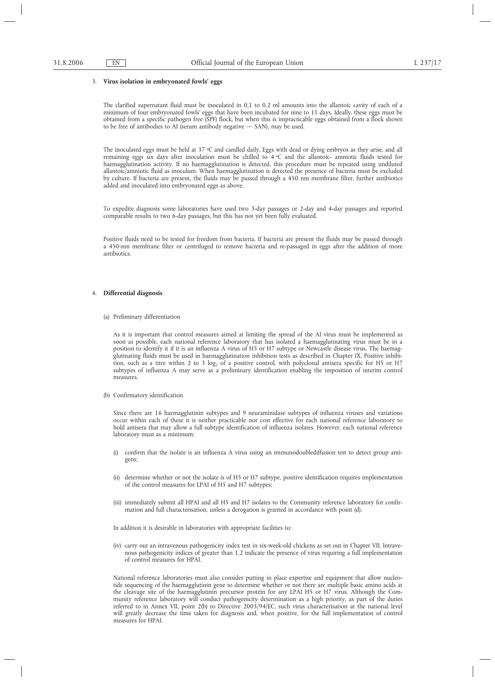#### 3. **Virus isolation in embryonated fowls' eggs**

The clarified supernatant fluid must be inoculated in 0,1 to 0,2 ml amounts into the allantoic cavity of each of a minimum of four embryonated fowls' eggs that have been incubated for nine to 11 days. Ideally, these eggs must be obtained from a specific pathogen free (SPF) flock, but when this is impracticable eggs obtained from a flock shown to be free of antibodies to AI (serum antibody negative — SAN), may be used.

The inoculated eggs must be held at 37  $\rm{^{\circ}C}$  and candled daily. Eggs with dead or dying embryos as they arise, and all remaining eggs six days after inoculation must be chilled to  $4\degree$ C and the allantoic- amniotic fluids tested for haemagglutination activity. If no haemagglutination is detected, this procedure must be repeated using undiluted allantoic/amniotic fluid as inoculum. When haemagglutination is detected the presence of bacteria must be excluded by culture. If bacteria are present, the fluids may be passed through a 450 nm membrane filter, further antibiotics added and inoculated into embryonated eggs as above.

To expedite diagnosis some laboratories have used two 3-day passages or 2-day and 4-day passages and reported comparable results to two 6-day passages, but this has not yet been fully evaluated.

Positive fluids need to be tested for freedom from bacteria. If bacteria are present the fluids may be passed through a 450-nm membrane filter or centrifuged to remove bacteria and re-passaged in eggs after the addition of more antibiotics.

#### 4. **Differential diagnosis**

(a) Preliminary differentiation

As it is important that control measures aimed at limiting the spread of the AI virus must be implemented as soon as possible, each national reference laboratory that has isolated a haemagglutinating virus must be in a position to identify it if it is an influenza A virus of H5 or H7 subtype or Newcastle disease virus. The haemagglutinating fluids must be used in haemagglutination inhibition tests as described in Chapter IX. Positive inhibition, such as a titre within 2 to 3 log<sub>2</sub> of a positive control, with polyclonal antisera specific for H5 or H7 subtypes of influenza A may serve as a preliminary identification enabling the imposition of interim control measures.

(b) Confirmatory identification

Since there are 16 haemagglutinin subtypes and 9 neuraminidase subtypes of influenza viruses and variations occur within each of these it is neither practicable nor cost effective for each national reference laboratory to hold antisera that may allow a full subtype identification of influenza isolates. However, each national reference laboratory must as a minimum:

- (i) confirm that the isolate is an influenza A virus using an immunodoublediffusion test to detect group antigens;
- (ii) determine whether or not the isolate is of H5 or H7 subtype, positive identification requires implementation of the control measures for LPAI of H5 and H7 subtypes;
- (iii) immediately submit all HPAI and all H5 and H7 isolates to the Community reference laboratory for confirmation and full characterisation, unless a derogation is granted in accordance with point (d).

In addition it is desirable in laboratories with appropriate facilities to:

(iv) carry out an intravenous pathogenicity index test in six-week-old chickens as set out in Chapter VII. Intravenous pathogenicity indices of greater than 1,2 indicate the presence of virus requiring a full implementation of control measures for HPAI.

National reference laboratories must also consider putting in place expertise and equipment that allow nucleotide sequencing of the haemagglutinin gene to determine whether or not there are multiple basic amino acids at the cleavage site of the haemagglutinin precursor protein for any LPAI H5 or H7 virus. Although the Community reference laboratory will conduct pathogenicity determination as a high priority, as part of the duties referred to in Annex VII, point 2(b) to Directive 2005/94/EC, such virus characterisation at the national level will greatly decrease the time taken for diagnosis and, when positive, for the full implementation of control measures for HPAI.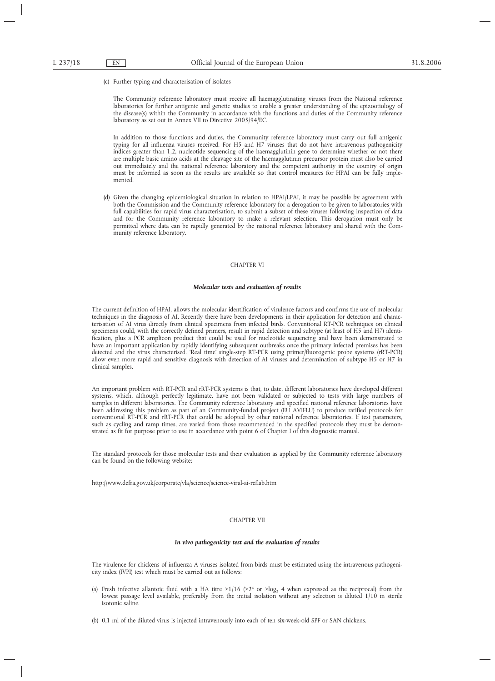(c) Further typing and characterisation of isolates

The Community reference laboratory must receive all haemagglutinating viruses from the National reference laboratories for further antigenic and genetic studies to enable a greater understanding of the epizootiology of the disease(s) within the Community in accordance with the functions and duties of the Community reference laboratory as set out in Annex VII to Directive 2005/94/EC.

In addition to those functions and duties, the Community reference laboratory must carry out full antigenic typing for all influenza viruses received. For H5 and H7 viruses that do not have intravenous pathogenicity indices greater than 1,2, nucleotide sequencing of the haemagglutinin gene to determine whether or not there are multiple basic amino acids at the cleavage site of the haemagglutinin precursor protein must also be carried out immediately and the national reference laboratory and the competent authority in the country of origin must be informed as soon as the results are available so that control measures for HPAI can be fully implemented.

(d) Given the changing epidemiological situation in relation to HPAI/LPAI, it may be possible by agreement with both the Commission and the Community reference laboratory for a derogation to be given to laboratories with full capabilities for rapid virus characterisation, to submit a subset of these viruses following inspection of data and for the Community reference laboratory to make a relevant selection. This derogation must only be permitted where data can be rapidly generated by the national reference laboratory and shared with the Community reference laboratory.

# CHAPTER VI

#### *Molecular tests and evaluation of results*

The current definition of HPAI, allows the molecular identification of virulence factors and confirms the use of molecular techniques in the diagnosis of AI. Recently there have been developments in their application for detection and characterisation of AI virus directly from clinical specimens from infected birds. Conventional RT-PCR techniques on clinical specimens could, with the correctly defined primers, result in rapid detection and subtype (at least of H5 and H7) identification, plus a PCR amplicon product that could be used for nucleotide sequencing and have been demonstrated to have an important application by rapidly identifying subsequent outbreaks once the primary infected premises has been detected and the virus characterised. 'Real time' single-step RT-PCR using primer/fluorogenic probe systems (rRT-PCR) allow even more rapid and sensitive diagnosis with detection of AI viruses and determination of subtype H5 or H7 in clinical samples.

An important problem with RT-PCR and rRT-PCR systems is that, to date, different laboratories have developed different systems, which, although perfectly legitimate, have not been validated or subjected to tests with large numbers of samples in different laboratories. The Community reference laboratory and specified national reference laboratories have been addressing this problem as part of an Community-funded project (EU AVIFLU) to produce ratified protocols for conventional RT-PCR and rRT-PCR that could be adopted by other national reference laboratories. If test parameters, such as cycling and ramp times, are varied from those recommended in the specified protocols they must be demonstrated as fit for purpose prior to use in accordance with point 6 of Chapter I of this diagnostic manual.

The standard protocols for those molecular tests and their evaluation as applied by the Community reference laboratory can be found on the following website:

http://www.defra.gov.uk/corporate/vla/science/science-viral-ai-reflab.htm

#### CHAPTER VII

## *In vivo pathogenicity test and the evaluation of results*

The virulence for chickens of influenza A viruses isolated from birds must be estimated using the intravenous pathogenicity index (IVPI) test which must be carried out as follows:

- (a) Fresh infective allantoic fluid with a HA titre  $>1/16$  ( $>2<sup>4</sup>$  or  $>log<sub>2</sub> 4$  when expressed as the reciprocal) from the lowest passage level available, preferably from the initial isolation without any selection is diluted 1/10 in sterile isotonic saline.
- (b) 0,1 ml of the diluted virus is injected intravenously into each of ten six-week-old SPF or SAN chickens.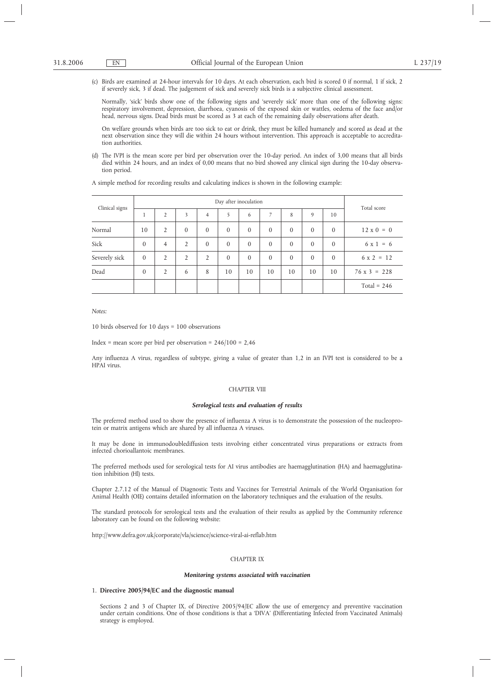(c) Birds are examined at 24-hour intervals for 10 days. At each observation, each bird is scored 0 if normal, 1 if sick, 2 if severely sick, 3 if dead. The judgement of sick and severely sick birds is a subjective clinical assessment.

Normally, 'sick' birds show one of the following signs and 'severely sick' more than one of the following signs: respiratory involvement, depression, diarrhoea, cyanosis of the exposed skin or wattles, oedema of the face and/or head, nervous signs. Dead birds must be scored as 3 at each of the remaining daily observations after death.

On welfare grounds when birds are too sick to eat or drink, they must be killed humanely and scored as dead at the next observation since they will die within 24 hours without intervention. This approach is acceptable to accreditation authorities.

(d) The IVPI is the mean score per bird per observation over the 10-day period. An index of 3,00 means that all birds died within 24 hours, and an index of 0,00 means that no bird showed any clinical sign during the 10-day observation period.

A simple method for recording results and calculating indices is shown in the following example:

| Clinical signs | Day after inoculation |                |                |                |          |          |                |              | Total score |              |                     |
|----------------|-----------------------|----------------|----------------|----------------|----------|----------|----------------|--------------|-------------|--------------|---------------------|
|                | 1                     | $\overline{2}$ | 3              | 4              | 5        | 6        | $\overline{7}$ | 8            | 9           | 10           |                     |
| Normal         | 10                    | 2              | $\mathbf{0}$   | $\theta$       | $\theta$ | $\Omega$ | $\Omega$       | $\mathbf{0}$ | $\Omega$    | $\mathbf{0}$ | $12 \times 0 = 0$   |
| Sick           | $\mathbf{0}$          | $\overline{4}$ | $\overline{2}$ | $\theta$       | $\theta$ | $\theta$ | $\theta$       | $\theta$     | $\Omega$    | $\mathbf{0}$ | $6x1 = 6$           |
| Severely sick  | $\mathbf{0}$          | $\overline{2}$ | $\overline{2}$ | $\overline{2}$ | $\theta$ | $\Omega$ | $\theta$       | $\theta$     | $\Omega$    | $\theta$     | $6 \times 2 = 12$   |
| Dead           | $\mathbf{0}$          | $\overline{2}$ | 6              | 8              | 10       | 10       | 10             | 10           | 10          | 10           | $76 \times 3 = 228$ |
|                |                       |                |                |                |          |          |                |              |             |              | Total = $246$       |

*Notes:*

10 birds observed for 10 days = 100 observations

Index = mean score per bird per observation =  $246/100 = 2,46$ 

Any influenza A virus, regardless of subtype, giving a value of greater than 1,2 in an IVPI test is considered to be a HPAI virus.

# CHAPTER VIII

#### *Serological tests and evaluation of results*

The preferred method used to show the presence of influenza A virus is to demonstrate the possession of the nucleoprotein or matrix antigens which are shared by all influenza A viruses.

It may be done in immunodoublediffusion tests involving either concentrated virus preparations or extracts from infected chorioallantoic membranes.

The preferred methods used for serological tests for AI virus antibodies are haemagglutination (HA) and haemagglutination inhibition (Hl) tests.

Chapter 2.7.12 of the Manual of Diagnostic Tests and Vaccines for Terrestrial Animals of the World Organisation for Animal Health (OIE) contains detailed information on the laboratory techniques and the evaluation of the results.

The standard protocols for serological tests and the evaluation of their results as applied by the Community reference laboratory can be found on the following website:

http://www.defra.gov.uk/corporate/vla/science/science-viral-ai-reflab.htm

# CHAPTER IX

#### *Monitoring systems associated with vaccination*

# 1. **Directive 2005/94/EC and the diagnostic manual**

Sections 2 and 3 of Chapter IX, of Directive 2005/94/EC allow the use of emergency and preventive vaccination under certain conditions. One of those conditions is that a 'DIVA' (Differentiating Infected from Vaccinated Animals) strategy is employed.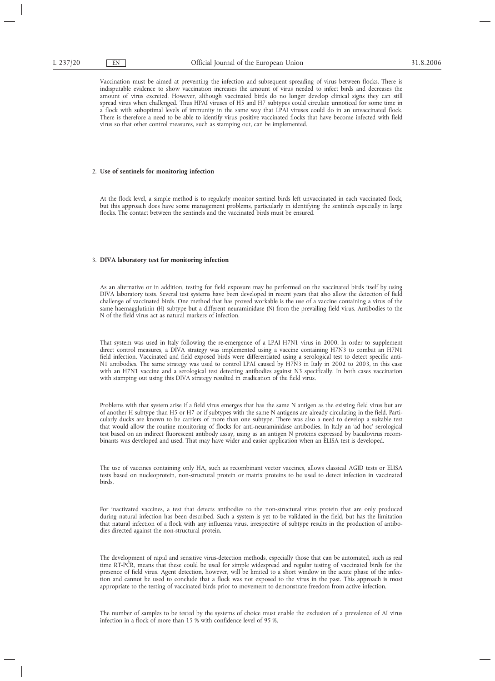Vaccination must be aimed at preventing the infection and subsequent spreading of virus between flocks. There is indisputable evidence to show vaccination increases the amount of virus needed to infect birds and decreases the amount of virus excreted. However, although vaccinated birds do no longer develop clinical signs they can still spread virus when challenged. Thus HPAI viruses of H5 and H7 subtypes could circulate unnoticed for some time in a flock with suboptimal levels of immunity in the same way that LPAI viruses could do in an unvaccinated flock. There is therefore a need to be able to identify virus positive vaccinated flocks that have become infected with field virus so that other control measures, such as stamping out, can be implemented.

#### 2. **Use of sentinels for monitoring infection**

At the flock level, a simple method is to regularly monitor sentinel birds left unvaccinated in each vaccinated flock, but this approach does have some management problems, particularly in identifying the sentinels especially in large flocks. The contact between the sentinels and the vaccinated birds must be ensured.

#### 3. **DIVA laboratory test for monitoring infection**

As an alternative or in addition, testing for field exposure may be performed on the vaccinated birds itself by using DIVA laboratory tests. Several test systems have been developed in recent years that also allow the detection of field challenge of vaccinated birds. One method that has proved workable is the use of a vaccine containing a virus of the same haemagglutinin (H) subtype but a different neuraminidase (N) from the prevailing field virus. Antibodies to the N of the field virus act as natural markers of infection.

That system was used in Italy following the re-emergence of a LPAI H7N1 virus in 2000. In order to supplement direct control measures, a DIVA strategy was implemented using a vaccine containing H7N3 to combat an H7N1 field infection. Vaccinated and field exposed birds were differentiated using a serological test to detect specific anti-N1 antibodies. The same strategy was used to control LPAI caused by H7N3 in Italy in 2002 to 2003, in this case with an H7N1 vaccine and a serological test detecting antibodies against N3 specifically. In both cases vaccination with stamping out using this DIVA strategy resulted in eradication of the field virus.

Problems with that system arise if a field virus emerges that has the same N antigen as the existing field virus but are of another H subtype than H5 or H7 or if subtypes with the same N antigens are already circulating in the field. Particularly ducks are known to be carriers of more than one subtype. There was also a need to develop a suitable test that would allow the routine monitoring of flocks for anti-neuraminidase antibodies. In Italy an 'ad hoc' serological test based on an indirect fluorescent antibody assay, using as an antigen N proteins expressed by baculovirus recombinants was developed and used. That may have wider and easier application when an ELISA test is developed.

The use of vaccines containing only HA, such as recombinant vector vaccines, allows classical AGID tests or ELISA tests based on nucleoprotein, non-structural protein or matrix proteins to be used to detect infection in vaccinated birds.

For inactivated vaccines, a test that detects antibodies to the non-structural virus protein that are only produced during natural infection has been described. Such a system is yet to be validated in the field, but has the limitation that natural infection of a flock with any influenza virus, irrespective of subtype results in the production of antibodies directed against the non-structural protein.

The development of rapid and sensitive virus-detection methods, especially those that can be automated, such as real time RT-PCR, means that these could be used for simple widespread and regular testing of vaccinated birds for the presence of field virus. Agent detection, however, will be limited to a short window in the acute phase of the infection and cannot be used to conclude that a flock was not exposed to the virus in the past. This approach is most appropriate to the testing of vaccinated birds prior to movement to demonstrate freedom from active infection.

The number of samples to be tested by the systems of choice must enable the exclusion of a prevalence of AI virus infection in a flock of more than 15 % with confidence level of 95 %.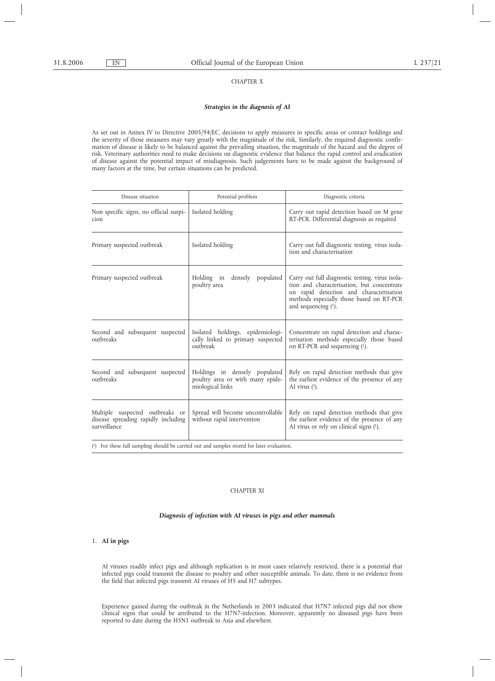# CHAPTER X

# *Strategies in the diagnosis of AI*

As set out in Annex IV to Directive 2005/94/EC, decisions to apply measures in specific areas or contact holdings and the severity of those measures may vary greatly with the magnitude of the risk. Similarly, the required diagnostic confirmation of disease is likely to be balanced against the prevailing situation, the magnitude of the hazard and the degree of risk. Veterinary authorities need to make decisions on diagnostic evidence that balance the rapid control and eradication of disease against the potential impact of misdiagnosis. Such judgements have to be made against the background of many factors at the time, but certain situations can be predicted.

| Disease situation                                                                      | Potential problem                                                                     | Diagnostic criteria                                                                                                                                                                                            |  |  |  |
|----------------------------------------------------------------------------------------|---------------------------------------------------------------------------------------|----------------------------------------------------------------------------------------------------------------------------------------------------------------------------------------------------------------|--|--|--|
| Non specific signs, no official suspi-<br>cion                                         | Isolated holding                                                                      | Carry out rapid detection based on M gene<br>RT-PCR. Differential diagnosis as required                                                                                                                        |  |  |  |
| Primary suspected outbreak                                                             | Isolated holding                                                                      | Carry out full diagnostic testing, virus isola-<br>tion and characterisation                                                                                                                                   |  |  |  |
| Primary suspected outbreak                                                             | Holding in<br>densely populated<br>poultry area                                       | Carry out full diagnostic testing, virus isola-<br>tion and characterisation, but concentrate<br>on rapid detection and characterisation<br>methods especially those based on RT-PCR<br>and sequencing $(1)$ . |  |  |  |
| Second and subsequent suspected<br>outbreaks                                           | Isolated holdings, epidemiologi-<br>cally linked to primary suspected<br>outbreak     | Concentrate on rapid detection and charac-<br>terisation methods especially those based<br>on RT-PCR and sequencing (1).                                                                                       |  |  |  |
| Second and subsequent suspected<br>outhreaks                                           | Holdings in densely populated<br>poultry area or with many epide-<br>miological links | Rely on rapid detection methods that give<br>the earliest evidence of the presence of any<br>AI virus $(1)$ .                                                                                                  |  |  |  |
| Multiple suspected outbreaks or<br>disease spreading rapidly including<br>surveillance | Spread will become uncontrollable<br>without rapid intervention                       | Rely on rapid detection methods that give<br>the earliest evidence of the presence of any<br>AI virus or rely on clinical signs (1).                                                                           |  |  |  |

( 1) For these full sampling should be carried out and samples stored for later evaluation.

# CHAPTER XI

# *Diagnosis of infection with AI viruses in pigs and other mammals*

# 1. **AI in pigs**

AI viruses readily infect pigs and although replication is in most cases relatively restricted, there is a potential that infected pigs could transmit the disease to poultry and other susceptible animals. To date, there is no evidence from the field that infected pigs transmit AI viruses of H5 and H7 subtypes.

Experience gained during the outbreak in the Netherlands in 2003 indicated that H7N7 infected pigs did not show clinical signs that could be attributed to the H7N7-infection. Moreover, apparently no diseased pigs have been reported to date during the H5N1 outbreak in Asia and elsewhere.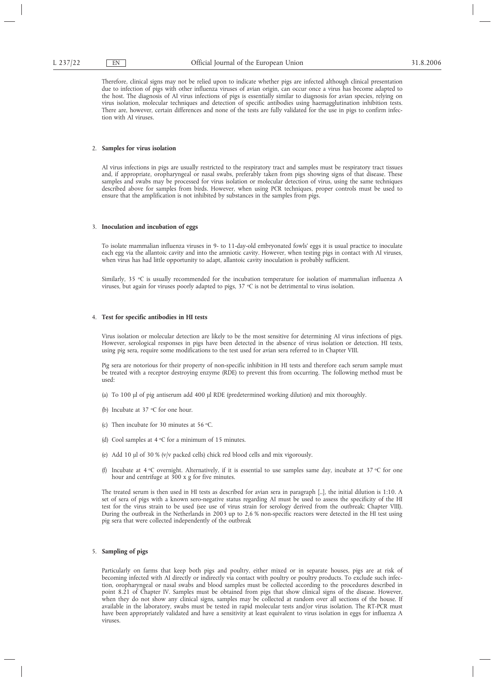Therefore, clinical signs may not be relied upon to indicate whether pigs are infected although clinical presentation due to infection of pigs with other influenza viruses of avian origin, can occur once a virus has become adapted to the host. The diagnosis of AI virus infections of pigs is essentially similar to diagnosis for avian species, relying on virus isolation, molecular techniques and detection of specific antibodies using haemagglutination inhibition tests. There are, however, certain differences and none of the tests are fully validated for the use in pigs to confirm infection with AI viruses.

# 2. **Samples for virus isolation**

AI virus infections in pigs are usually restricted to the respiratory tract and samples must be respiratory tract tissues and, if appropriate, oropharyngeal or nasal swabs, preferably taken from pigs showing signs of that disease. These samples and swabs may be processed for virus isolation or molecular detection of virus, using the same techniques described above for samples from birds. However, when using PCR techniques, proper controls must be used to ensure that the amplification is not inhibited by substances in the samples from pigs.

#### 3. **Inoculation and incubation of eggs**

To isolate mammalian influenza viruses in 9- to 11-day-old embryonated fowls' eggs it is usual practice to inoculate each egg via the allantoic cavity and into the amniotic cavity. However, when testing pigs in contact with AI viruses, when virus has had little opportunity to adapt, allantoic cavity inoculation is probably sufficient.

Similarly, 35 °C is usually recommended for the incubation temperature for isolation of mammalian influenza A viruses, but again for viruses poorly adapted to pigs,  $37 \text{ °C}$  is not be detrimental to virus isolation.

# 4. **Test for specific antibodies in HI tests**

Virus isolation or molecular detection are likely to be the most sensitive for determining AI virus infections of pigs. However, serological responses in pigs have been detected in the absence of virus isolation or detection. HI tests, using pig sera, require some modifications to the test used for avian sera referred to in Chapter VIII.

Pig sera are notorious for their property of non-specific inhibition in HI tests and therefore each serum sample must be treated with a receptor destroying enzyme (RDE) to prevent this from occurring. The following method must be used:

- (a) To 100 µl of pig antiserum add 400 µl RDE (predetermined working dilution) and mix thoroughly.
- (b) Incubate at  $37 \text{ °C}$  for one hour.
- (c) Then incubate for 30 minutes at 56  $\degree$ C.
- (d) Cool samples at  $4 \,^{\circ}$ C for a minimum of 15 minutes.
- (e) Add 10 µl of 30 % (v/v packed cells) chick red blood cells and mix vigorously.
- (f) Incubate at 4  $\degree$ C overnight. Alternatively, if it is essential to use samples same day, incubate at 37  $\degree$ C for one hour and centrifuge at 300 x g for five minutes.

The treated serum is then used in HI tests as described for avian sera in paragraph [..], the initial dilution is 1:10. A set of sera of pigs with a known sero-negative status regarding AI must be used to assess the specificity of the HI test for the virus strain to be used (see use of virus strain for serology derived from the outbreak; Chapter VIII). During the outbreak in the Netherlands in 2003 up to 2,6 % non-specific reactors were detected in the HI test using pig sera that were collected independently of the outbreak

### 5. **Sampling of pigs**

Particularly on farms that keep both pigs and poultry, either mixed or in separate houses, pigs are at risk of becoming infected with AI directly or indirectly via contact with poultry or poultry products. To exclude such infection, oropharyngeal or nasal swabs and blood samples must be collected according to the procedures described in point 8.21 of Chapter IV. Samples must be obtained from pigs that show clinical signs of the disease. However, when they do not show any clinical signs, samples may be collected at random over all sections of the house. If available in the laboratory, swabs must be tested in rapid molecular tests and/or virus isolation. The RT-PCR must have been appropriately validated and have a sensitivity at least equivalent to virus isolation in eggs for influenza A viruses.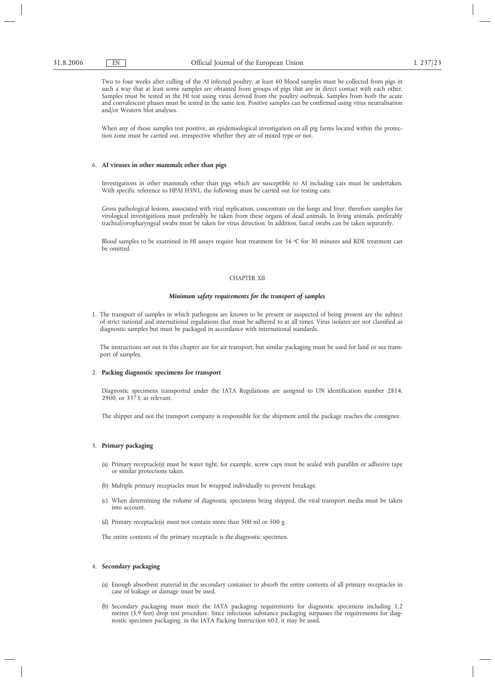Two to four weeks after culling of the AI infected poultry, at least 60 blood samples must be collected from pigs in such a way that at least some samples are obtained from groups of pigs that are in direct contact with each other. Samples must be tested in the HI test using virus derived from the poultry outbreak. Samples from both the acute and convalescent phases must be tested in the same test. Positive samples can be confirmed using virus neutralisation and/or Western blot analyses.

When any of those samples test positive, an epidemiological investigation on all pig farms located within the protection zone must be carried out, irrespective whether they are of mixed type or not.

# 6. **AI viruses in other mammals other than pigs**

Investigations in other mammals other than pigs which are susceptible to AI including cats must be undertaken. With specific reference to HPAI H5N1, the following must be carried out for testing cats:

Gross pathological lesions, associated with viral replication, concentrate on the lungs and liver, therefore samples for virological investigations must preferably be taken from these organs of dead animals. In living animals, preferably tracheal/oropharyngeal swabs must be taken for virus detection. In addition, faecal swabs can be taken separately.

Blood samples to be examined in HI assays require heat treatment for 56  $\degree$ C for 30 minutes and RDE treatment can be omitted.

### CHAPTER XII

#### *Minimum safety requirements for the transport of samples*

1. The transport of samples in which pathogens are known to be present or suspected of being present are the subject of strict national and international regulations that must be adhered to at all times. Virus isolates are not classified as diagnostic samples but must be packaged in accordance with international standards.

The instructions set out in this chapter are for air transport, but similar packaging must be used for land or sea transport of samples.

# 2. **Packing diagnostic specimens for transport**

Diagnostic specimens transported under the IATA Regulations are assigned to UN identification number 2814, 2900, or 3373, as relevant.

The shipper and not the transport company is responsible for the shipment until the package reaches the consignee.

#### 3. **Primary packaging**

- (a) Primary receptacle(s) must be water tight, for example, screw caps must be sealed with parafilm or adhesive tape or similar protections taken.
- (b) Multiple primary receptacles must be wrapped individually to prevent breakage.
- (c) When determining the volume of diagnostic specimens being shipped, the viral transport media must be taken into account.
- (d) Primary receptacle(s) must not contain more than 500 ml or 500 g.

The entire contents of the primary receptacle is the diagnostic specimen.

# 4. **Secondary packaging**

- (a) Enough absorbent material in the secondary container to absorb the entire contents of all primary receptacles in case of leakage or damage must be used.
- (b) Secondary packaging must meet the IATA packaging requirements for diagnostic specimens including 1,2 metres (3,9 feet) drop test procedure. Since infectious substance packaging surpasses the requirements for diagnostic specimen packaging, in the IATA Packing Instruction 602, it may be used.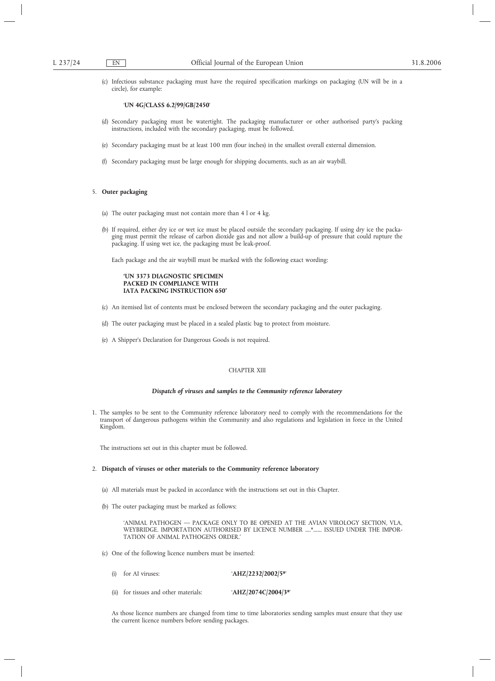(c) Infectious substance packaging must have the required specification markings on packaging (UN will be in a circle), for example:

# '**UN 4G/CLASS 6.2/99/GB/2450**'

- (d) Secondary packaging must be watertight. The packaging manufacturer or other authorised party's packing instructions, included with the secondary packaging, must be followed.
- (e) Secondary packaging must be at least 100 mm (four inches) in the smallest overall external dimension.
- (f) Secondary packaging must be large enough for shipping documents, such as an air waybill.

# 5. **Outer packaging**

- (a) The outer packaging must not contain more than 4 l or 4 kg.
- (b) If required, either dry ice or wet ice must be placed outside the secondary packaging. If using dry ice the packaging must permit the release of carbon dioxide gas and not allow a build-up of pressure that could rupture the packaging. If using wet ice, the packaging must be leak-proof.

Each package and the air waybill must be marked with the following exact wording:

# **'UN 3373 DIAGNOSTIC SPECIMEN PACKED IN COMPLIANCE WITH IATA PACKING INSTRUCTION 650'**

- (c) An itemised list of contents must be enclosed between the secondary packaging and the outer packaging.
- (d) The outer packaging must be placed in a sealed plastic bag to protect from moisture.
- (e) A Shipper's Declaration for Dangerous Goods is not required.

# CHAPTER XIII

### *Dispatch of viruses and samples to the Community reference laboratory*

1. The samples to be sent to the Community reference laboratory need to comply with the recommendations for the transport of dangerous pathogens within the Community and also regulations and legislation in force in the United Kingdom.

The instructions set out in this chapter must be followed.

#### 2. **Dispatch of viruses or other materials to the Community reference laboratory**

- (a) All materials must be packed in accordance with the instructions set out in this Chapter.
- (b) The outer packaging must be marked as follows:

'ANIMAL PATHOGEN — PACKAGE ONLY TO BE OPENED AT THE AVIAN VIROLOGY SECTION, VLA, WEYBRIDGE. IMPORTATION AUTHORISED BY LICENCE NUMBER ....\*...... ISSUED UNDER THE IMPOR-TATION OF ANIMAL PATHOGENS ORDER.'

- (c) One of the following licence numbers must be inserted:
	- (i) for AI viruses: '**AHZ/2232/2002/5\***'
	- (ii) for tissues and other materials: '**AHZ/2074C/2004/3\***'

As those licence numbers are changed from time to time laboratories sending samples must ensure that they use the current licence numbers before sending packages.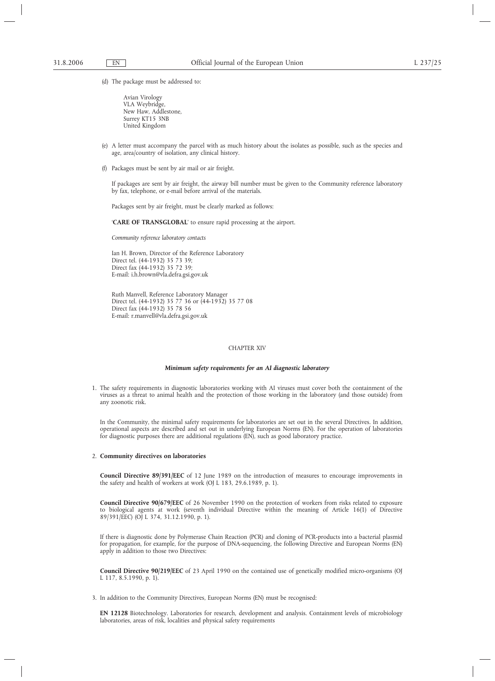(d) The package must be addressed to:

Avian Virology VLA Weybridge, New Haw, Addlestone, Surrey KT15 3NB United Kingdom

- (e) A letter must accompany the parcel with as much history about the isolates as possible, such as the species and age, area/country of isolation, any clinical history.
- (f) Packages must be sent by air mail or air freight.

If packages are sent by air freight, the airway bill number must be given to the Community reference laboratory by fax, telephone, or e-mail before arrival of the materials.

Packages sent by air freight, must be clearly marked as follows:

'**CARE OF TRANSGLOBAL**' to ensure rapid processing at the airport.

*Community reference laboratory contacts*

Ian H. Brown, Director of the Reference Laboratory Direct tel. (44-1932) 35 73 39; Direct fax (44-1932) 35 72 39; E-mail: i.h.brown@vla.defra.gsi.gov.uk

Ruth Manvell, Reference Laboratory Manager Direct tel. (44-1932) 35 77 36 or (44-1932) 35 77 08 Direct fax (44-1932) 35 78 56 E-mail: r.manvell@vla.defra.gsi.gov.uk

# CHAPTER XIV

# *Minimum safety requirements for an AI diagnostic laboratory*

1. The safety requirements in diagnostic laboratories working with AI viruses must cover both the containment of the viruses as a threat to animal health and the protection of those working in the laboratory (and those outside) from any zoonotic risk.

In the Community, the minimal safety requirements for laboratories are set out in the several Directives. In addition, operational aspects are described and set out in underlying European Norms (EN). For the operation of laboratories for diagnostic purposes there are additional regulations (EN), such as good laboratory practice.

# 2. **Community directives on laboratories**

**Council Directive 89/391/EEC** of 12 June 1989 on the introduction of measures to encourage improvements in the safety and health of workers at work (OJ L 183, 29.6.1989, p. 1).

**Council Directive 90/679/EEC** of 26 November 1990 on the protection of workers from risks related to exposure to biological agents at work (seventh individual Directive within the meaning of Article 16(1) of Directive 89/391/EEC) (OJ L 374, 31.12.1990, p. 1).

If there is diagnostic done by Polymerase Chain Reaction (PCR) and cloning of PCR-products into a bacterial plasmid for propagation, for example, for the purpose of DNA-sequencing, the following Directive and European Norms (EN) apply in addition to those two Directives:

**Council Directive 90/219/EEC** of 23 April 1990 on the contained use of genetically modified micro-organisms (OJ L 117, 8.5.1990, p. 1).

3. In addition to the Community Directives, European Norms (EN) must be recognised:

**EN 12128** Biotechnology. Laboratories for research, development and analysis. Containment levels of microbiology laboratories, areas of risk, localities and physical safety requirements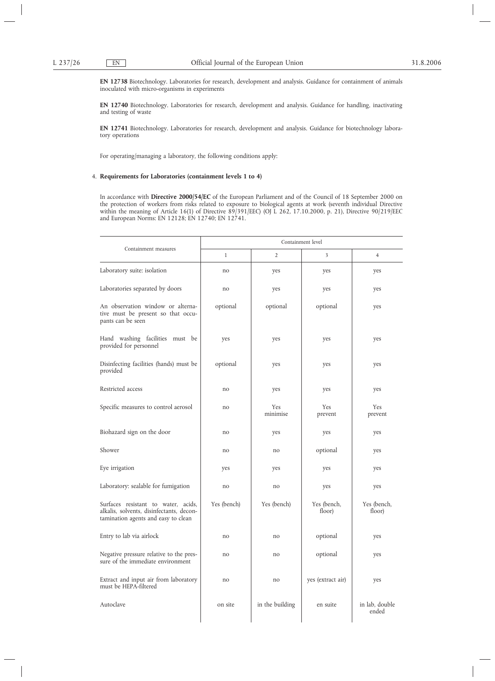**EN 12738** Biotechnology. Laboratories for research, development and analysis. Guidance for containment of animals inoculated with micro-organisms in experiments

**EN 12740** Biotechnology. Laboratories for research, development and analysis. Guidance for handling, inactivating and testing of waste

**EN 12741** Biotechnology. Laboratories for research, development and analysis. Guidance for biotechnology laboratory operations

For operating/managing a laboratory, the following conditions apply:

# 4. **Requirements for Laboratories (containment levels 1 to 4)**

In accordance with **Directive 2000/54/EC** of the European Parliament and of the Council of 18 September 2000 on the protection of workers from risks related to exposure to biological agents at work (seventh individual Directive within the meaning of Article 16(1) of Directive 89/391/EEC) (OJ L 262, 17.10.2000, p. 21), Directive 90/219/EEC and European Norms: EN 12128; EN 12740; EN 12741.

|                                                                                                                        | Containment level |                 |                       |                         |  |  |  |
|------------------------------------------------------------------------------------------------------------------------|-------------------|-----------------|-----------------------|-------------------------|--|--|--|
| Containment measures                                                                                                   | $\mathbf{1}$      | $\overline{2}$  | 3                     | $\overline{4}$          |  |  |  |
| Laboratory suite: isolation                                                                                            | no                | yes             | yes                   | yes                     |  |  |  |
| Laboratories separated by doors                                                                                        | no                | yes             | yes                   | yes                     |  |  |  |
| An observation window or alterna-<br>tive must be present so that occu-<br>pants can be seen                           | optional          | optional        | optional              | yes                     |  |  |  |
| Hand washing facilities must be<br>provided for personnel                                                              | yes               | yes             | yes                   | yes                     |  |  |  |
| Disinfecting facilities (hands) must be<br>provided                                                                    | optional          | yes             | yes                   | yes                     |  |  |  |
| Restricted access                                                                                                      | no                | yes             | yes                   | yes                     |  |  |  |
| Specific measures to control aerosol                                                                                   | no                | Yes<br>minimise | Yes<br>prevent        | Yes<br>prevent          |  |  |  |
| Biohazard sign on the door                                                                                             | no                | yes             | yes                   | yes                     |  |  |  |
| Shower                                                                                                                 | no                | no              | optional              | yes                     |  |  |  |
| Eye irrigation                                                                                                         | yes               | yes             | yes                   | yes                     |  |  |  |
| Laboratory: sealable for fumigation                                                                                    | no                | no              | yes                   | yes                     |  |  |  |
| Surfaces resistant to water, acids,<br>alkalis, solvents, disinfectants, decon-<br>tamination agents and easy to clean | Yes (bench)       | Yes (bench)     | Yes (bench,<br>floor) | Yes (bench,<br>floor)   |  |  |  |
| Entry to lab via airlock                                                                                               | no                | no              | optional              | yes                     |  |  |  |
| Negative pressure relative to the pres-<br>sure of the immediate environment                                           | no                | no              | optional              | yes                     |  |  |  |
| Extract and input air from laboratory<br>must be HEPA-filtered                                                         | no                | no              | yes (extract air)     | yes                     |  |  |  |
| Autoclave                                                                                                              | on site           | in the building | en suite              | in lab, double<br>ended |  |  |  |